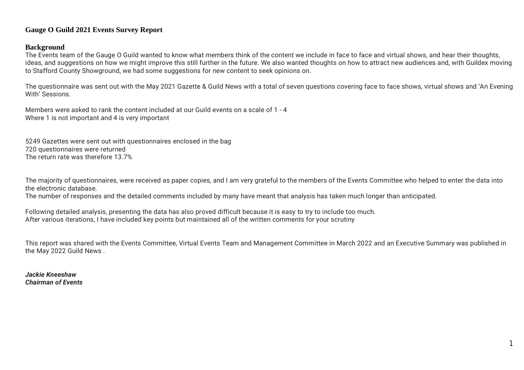## **Gauge O Guild 2021 Events Survey Report**

#### **Background**

The Events team of the Gauge O Guild wanted to know what members think of the content we include in face to face and virtual shows, and hear their thoughts, ideas, and suggestions on how we might improve this still further in the future. We also wanted thoughts on how to attract new audiences and, with Guildex moving to Stafford County Showground, we had some suggestions for new content to seek opinions on.

The questionnaire was sent out with the May 2021 Gazette & Guild News with a total of seven questions covering face to face shows, virtual shows and 'An Evening With' Sessions.

Members were asked to rank the content included at our Guild events on a scale of 1 - 4 Where 1 is not important and 4 is very important

5249 Gazettes were sent out with questionnaires enclosed in the bag 720 questionnaires were returned The return rate was therefore 13.7%

The majority of questionnaires, were received as paper copies, and I am very grateful to the members of the Events Committee who helped to enter the data into the electronic database.

The number of responses and the detailed comments included by many have meant that analysis has taken much longer than anticipated.

Following detailed analysis, presenting the data has also proved difficult because it is easy to try to include too much. After various iterations, I have included key points but maintained all of the written comments for your scrutiny

This report was shared with the Events Committee, Virtual Events Team and Management Committee in March 2022 and an Executive Summary was published in the May 2022 Guild News .

*Jackie Kneeshaw Chairman of Events*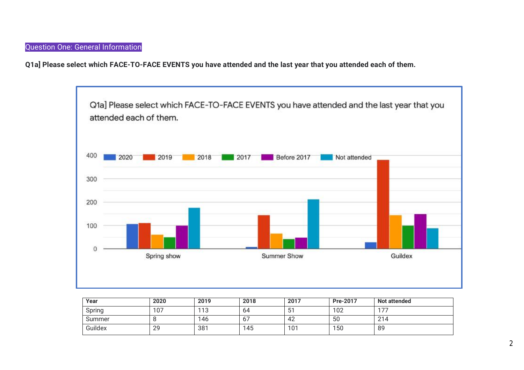Question One: General Information

**Q1a] Please select which FACE-TO-FACE EVENTS you have attended and the last year that you attended each of them.** 



| Year    | 2020 | 2019 | 2018           | 2017 | <b>Pre-2017</b> | Not attended |
|---------|------|------|----------------|------|-----------------|--------------|
| Spring  | 107  | 113  | 64             | 51   | 102             | $-17$        |
| Summer  | ັບ   | 146  | 6 <sub>1</sub> | 42   | 50              | 214          |
| Guildex | 29   | 381  | 145            | 101  | 150             | 89           |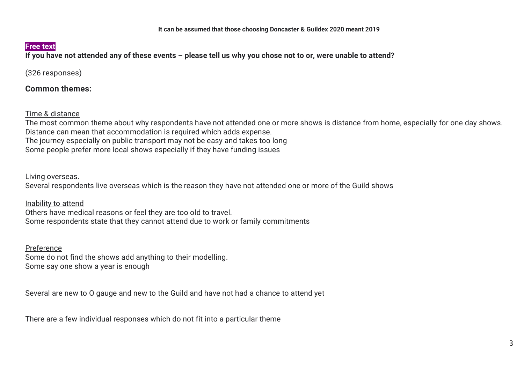If you have not attended any of these events - please tell us why you chose not to or, were unable to attend?

(326 responses)

**Common themes:** 

Time & distance

The most common theme about why respondents have not attended one or more shows is distance from home, especially for one day shows. Distance can mean that accommodation is required which adds expense. The journey especially on public transport may not be easy and takes too long Some people prefer more local shows especially if they have funding issues

Living overseas.

Several respondents live overseas which is the reason they have not attended one or more of the Guild shows

Inability to attend Others have medical reasons or feel they are too old to travel. Some respondents state that they cannot attend due to work or family commitments

Preference

Some do not find the shows add anything to their modelling. Some say one show a year is enough

Several are new to O gauge and new to the Guild and have not had a chance to attend yet

There are a few individual responses which do not fit into a particular theme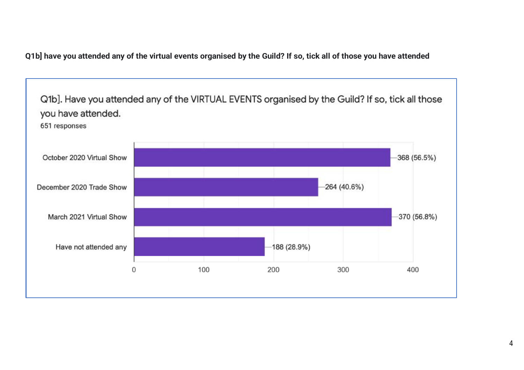Q1b] have you attended any of the virtual events organised by the Guild? If so, tick all of those you have attended

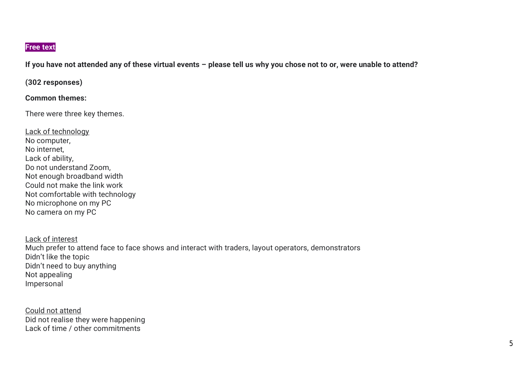If you have not attended any of these virtual events - please tell us why you chose not to or, were unable to attend?

# **(302 responses)**

## **Common themes:**

There were three key themes.

Lack of technology No computer, No internet, Lack of ability, Do not understand Zoom, Not enough broadband width Could not make the link work Not comfortable with technology No microphone on my PC No camera on my PC

Lack of interest Much prefer to attend face to face shows and interact with traders, layout operators, demonstrators Didn't like the topic Didn't need to buy anything Not appealing Impersonal

Could not attend Did not realise they were happening Lack of time / other commitments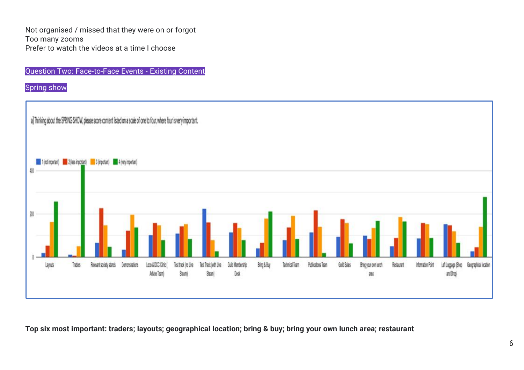Not organised / missed that they were on or forgot Too many zooms Prefer to watch the videos at a time I choose

Question Two: Face-to-Face Events - Existing Content

Spring show



Top six most important: traders; layouts; geographical location; bring & buy; bring your own lunch area; restaurant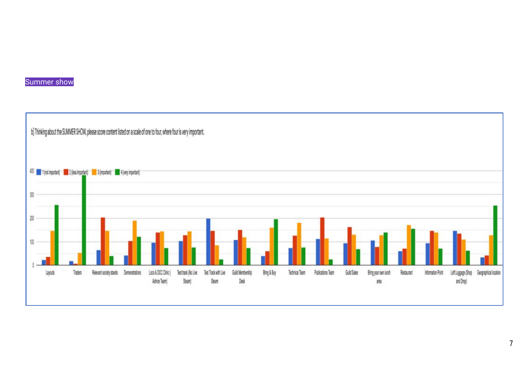

# Summer show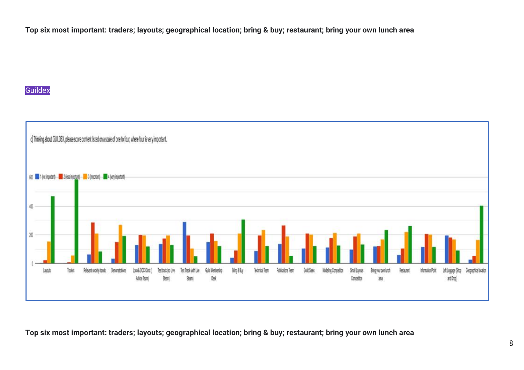Top six most important: traders; layouts; geographical location; bring & buy; restaurant; bring your own lunch area

# **Guildex**



Top six most important: traders; layouts; geographical location; bring & buy; restaurant; bring your own lunch area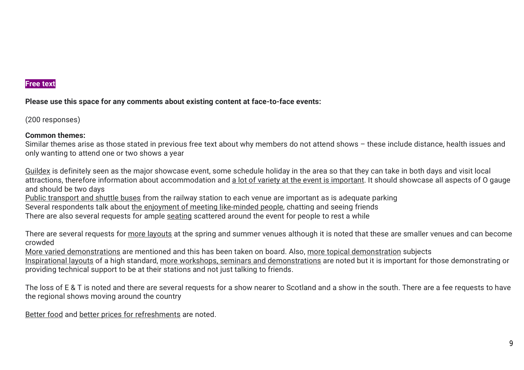**Please use this space for any comments about existing content at face-to-face events:** 

(200 responses)

# **Common themes:**

Similar themes arise as those stated in previous free text about why members do not attend shows – these include distance, health issues and only wanting to attend one or two shows a year

Guildex is definitely seen as the major showcase event, some schedule holiday in the area so that they can take in both days and visit local attractions, therefore information about accommodation and a lot of variety at the event is important. It should showcase all aspects of O gauge and should be two days

Public transport and shuttle buses from the railway station to each venue are important as is adequate parking

Several respondents talk about the enjoyment of meeting like-minded people, chatting and seeing friends

There are also several requests for ample seating scattered around the event for people to rest a while

There are several requests for more layouts at the spring and summer venues although it is noted that these are smaller venues and can become crowded

More varied demonstrations are mentioned and this has been taken on board. Also, more topical demonstration subjects

Inspirational layouts of a high standard, more workshops, seminars and demonstrations are noted but it is important for those demonstrating or providing technical support to be at their stations and not just talking to friends.

The loss of E & T is noted and there are several requests for a show nearer to Scotland and a show in the south. There are a fee requests to have the regional shows moving around the country

Better food and better prices for refreshments are noted.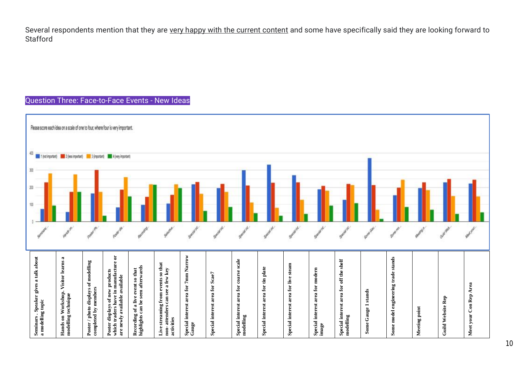Several respondents mention that they are very happy with the current content and some have specifically said they are looking forward to Stafford

#### Question Three: Face-to-Face Events - New Ideas

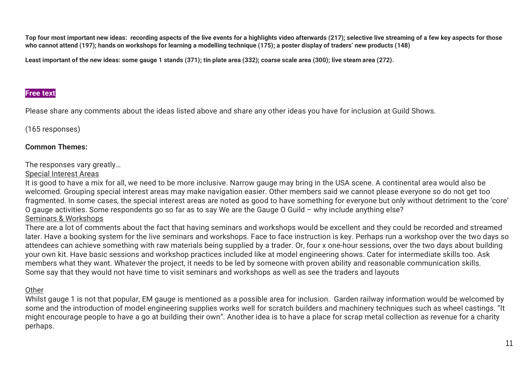Top four most important new ideas: recording aspects of the live events for a highlights video afterwards (217); selective live streaming of a few key aspects for those who cannot attend (197); hands on workshops for learning a modelling technique (175); a poster display of traders' new products (148)

Least important of the new ideas: some gauge 1 stands (371); tin plate area (332); coarse scale area (300); live steam area (272).

# **Free text**

Please share any comments about the ideas listed above and share any other ideas you have for inclusion at Guild Shows.

(165 responses)

# **Common Themes:**

The responses vary greatly…

## Special Interest Areas

It is good to have a mix for all, we need to be more inclusive. Narrow gauge may bring in the USA scene. A continental area would also be welcomed. Grouping special interest areas may make navigation easier. Other members said we cannot please everyone so do not get too fragmented. In some cases, the special interest areas are noted as good to have something for everyone but only without detriment to the 'core' O gauge activities. Some respondents go so far as to say We are the Gauge O Guild – why include anything else? Seminars & Workshops

# There are a lot of comments about the fact that having seminars and workshops would be excellent and they could be recorded and streamed later. Have a booking system for the live seminars and workshops. Face to face instruction is key. Perhaps run a workshop over the two days so attendees can achieve something with raw materials being supplied by a trader. Or, four x one-hour sessions, over the two days about building your own kit. Have basic sessions and workshop practices included like at model engineering shows. Cater for intermediate skills too. Ask members what they want. Whatever the project, it needs to be led by someone with proven ability and reasonable communication skills. Some say that they would not have time to visit seminars and workshops as well as see the traders and layouts

# **Other**

Whilst gauge 1 is not that popular, EM gauge is mentioned as a possible area for inclusion. Garden railway information would be welcomed by some and the introduction of model engineering supplies works well for scratch builders and machinery techniques such as wheel castings. "It might encourage people to have a go at building their own". Another idea is to have a place for scrap metal collection as revenue for a charity perhaps.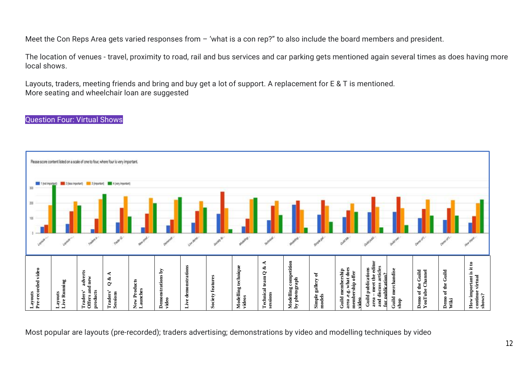Meet the Con Reps Area gets varied responses from – 'what is a con rep?" to also include the board members and president.

The location of venues - travel, proximity to road, rail and bus services and car parking gets mentioned again several times as does having more local shows.

Layouts, traders, meeting friends and bring and buy get a lot of support. A replacement for E & T is mentioned. More seating and wheelchair loan are suggested

#### Question Four: Virtual Shows



Most popular are layouts (pre-recorded); traders advertising; demonstrations by video and modelling techniques by video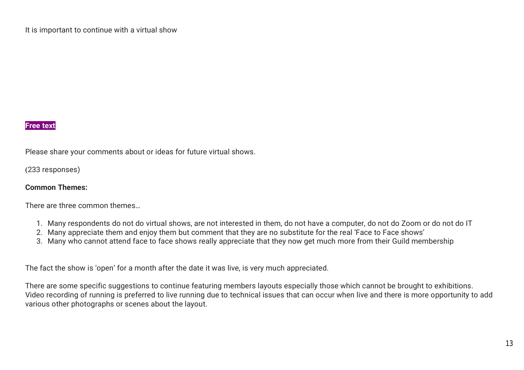Please share your comments about or ideas for future virtual shows.

(233 responses)

# **Common Themes:**

There are three common themes…

- 1. Many respondents do not do virtual shows, are not interested in them, do not have a computer, do not do Zoom or do not do IT
- 2. Many appreciate them and enjoy them but comment that they are no substitute for the real 'Face to Face shows'
- 3. Many who cannot attend face to face shows really appreciate that they now get much more from their Guild membership

The fact the show is 'open' for a month after the date it was live, is very much appreciated.

There are some specific suggestions to continue featuring members layouts especially those which cannot be brought to exhibitions. Video recording of running is preferred to live running due to technical issues that can occur when live and there is more opportunity to add various other photographs or scenes about the layout.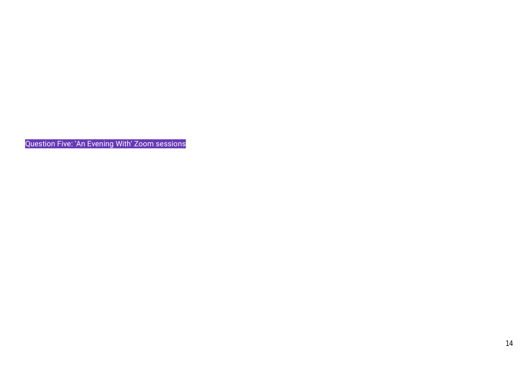Question Five: 'An Evening With' Zoom sessions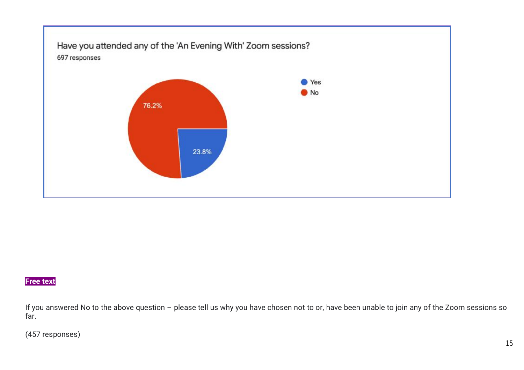

If you answered No to the above question – please tell us why you have chosen not to or, have been unable to join any of the Zoom sessions so far.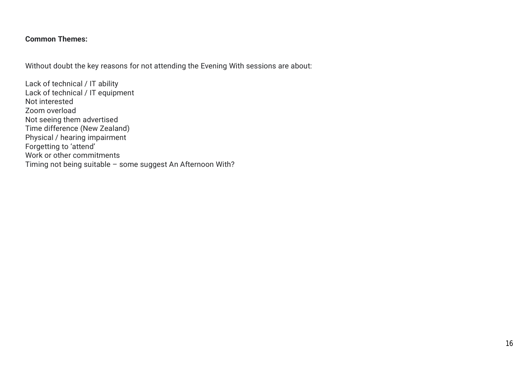# **Common Themes:**

Without doubt the key reasons for not attending the Evening With sessions are about:

Lack of technical / IT ability Lack of technical / IT equipment Not interested Zoom overload Not seeing them advertised Time difference (New Zealand) Physical / hearing impairment Forgetting to 'attend' Work or other commitments Timing not being suitable – some suggest An Afternoon With?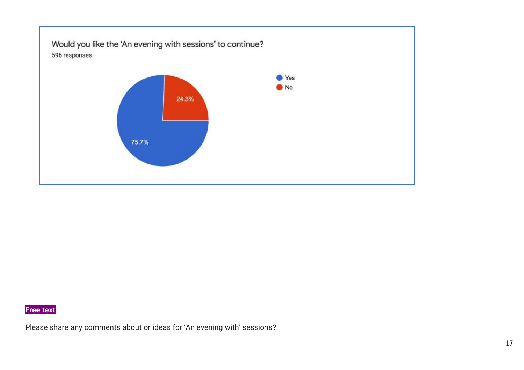

Please share any comments about or ideas for 'An evening with' sessions? '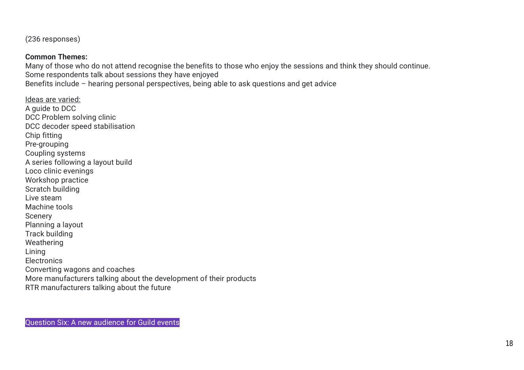(236 responses)

### **Common Themes:**

Many of those who do not attend recognise the benefits to those who enjoy the sessions and think they should continue. Some respondents talk about sessions they have enjoyed Benefits include – hearing personal perspectives, being able to ask questions and get advice

Ideas are varied: A guide to DCC DCC Problem solving clinic DCC decoder speed stabilisation Chip fitting Pre-grouping Coupling systems A series following a layout build Loco clinic evenings Workshop practice Scratch building Live steam Machine tools Scenery Planning a layout Track building Weathering Lining **Electronics** Converting wagons and coaches More manufacturers talking about the development of their products RTR manufacturers talking about the future

Question Six: A new audience for Guild events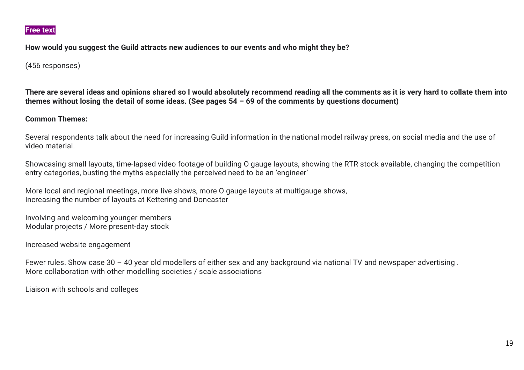**How would you suggest the Guild attracts new audiences to our events and who might they be?** 

(456 responses)

There are several ideas and opinions shared so I would absolutely recommend reading all the comments as it is very hard to collate them into themes without losing the detail of some ideas. (See pages  $54 - 69$  of the comments by questions document)

#### **Common Themes:**

Several respondents talk about the need for increasing Guild information in the national model railway press, on social media and the use of video material.

Showcasing small layouts, time-lapsed video footage of building O gauge layouts, showing the RTR stock available, changing the competition entry categories, busting the myths especially the perceived need to be an 'engineer'

More local and regional meetings, more live shows, more O gauge layouts at multigauge shows, Increasing the number of layouts at Kettering and Doncaster

Involving and welcoming younger members Modular projects / More present-day stock

Increased website engagement

Fewer rules. Show case 30 – 40 year old modellers of either sex and any background via national TV and newspaper advertising . More collaboration with other modelling societies / scale associations

Liaison with schools and colleges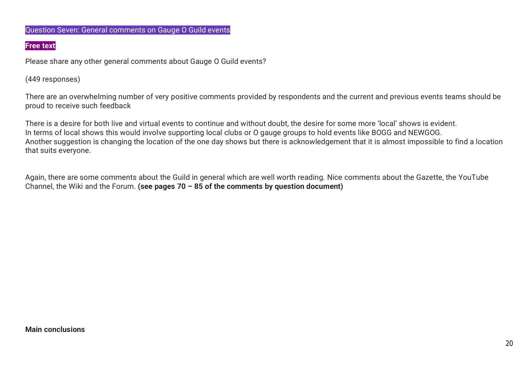#### Question Seven: General comments on Gauge O Guild events

#### **Free text**

Please share any other general comments about Gauge O Guild events?

(449 responses)

There are an overwhelming number of very positive comments provided by respondents and the current and previous events teams should be proud to receive such feedback

There is a desire for both live and virtual events to continue and without doubt, the desire for some more 'local' shows is evident. In terms of local shows this would involve supporting local clubs or O gauge groups to hold events like BOGG and NEWGOG. Another suggestion is changing the location of the one day shows but there is acknowledgement that it is almost impossible to find a location that suits everyone.

Again, there are some comments about the Guild in general which are well worth reading. Nice comments about the Gazette, the YouTube Channel, the Wiki and the Forum. **(see pages 70 – 85 of the comments by question document)**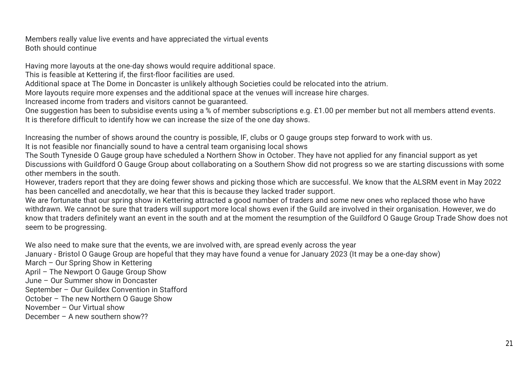Members really value live events and have appreciated the virtual events Both should continue

Having more layouts at the one-day shows would require additional space.

This is feasible at Kettering if, the first-floor facilities are used.

Additional space at The Dome in Doncaster is unlikely although Societies could be relocated into the atrium.

More layouts require more expenses and the additional space at the venues will increase hire charges.

Increased income from traders and visitors cannot be guaranteed.

One suggestion has been to subsidise events using a % of member subscriptions e.g. £1.00 per member but not all members attend events. It is therefore difficult to identify how we can increase the size of the one day shows.

Increasing the number of shows around the country is possible, IF, clubs or O gauge groups step forward to work with us.

It is not feasible nor financially sound to have a central team organising local shows

The South Tyneside O Gauge group have scheduled a Northern Show in October. They have not applied for any financial support as yet Discussions with Guildford O Gauge Group about collaborating on a Southern Show did not progress so we are starting discussions with some other members in the south.

However, traders report that they are doing fewer shows and picking those which are successful. We know that the ALSRM event in May 2022 has been cancelled and anecdotally, we hear that this is because they lacked trader support.

We are fortunate that our spring show in Kettering attracted a good number of traders and some new ones who replaced those who have withdrawn. We cannot be sure that traders will support more local shows even if the Guild are involved in their organisation. However, we do know that traders definitely want an event in the south and at the moment the resumption of the Guildford O Gauge Group Trade Show does not seem to be progressing.

We also need to make sure that the events, we are involved with, are spread evenly across the year

January - Bristol O Gauge Group are hopeful that they may have found a venue for January 2023 (It may be a one-day show)

March – Our Spring Show in Kettering

April – The Newport O Gauge Group Show

June – Our Summer show in Doncaster

September – Our Guildex Convention in Stafford

October – The new Northern O Gauge Show

November – Our Virtual show

December – A new southern show??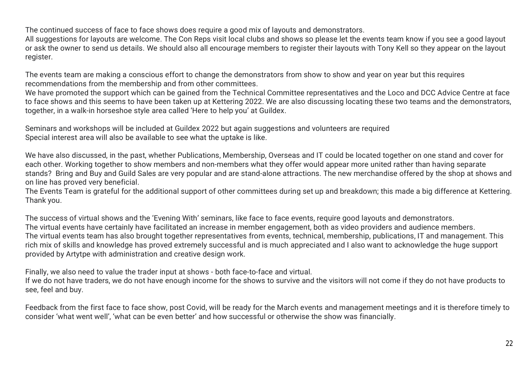The continued success of face to face shows does require a good mix of layouts and demonstrators.

All suggestions for layouts are welcome. The Con Reps visit local clubs and shows so please let the events team know if you see a good layout or ask the owner to send us details. We should also all encourage members to register their layouts with Tony Kell so they appear on the layout register.

The events team are making a conscious effort to change the demonstrators from show to show and year on year but this requires recommendations from the membership and from other committees.

We have promoted the support which can be gained from the Technical Committee representatives and the Loco and DCC Advice Centre at face to face shows and this seems to have been taken up at Kettering 2022. We are also discussing locating these two teams and the demonstrators, together, in a walk-in horseshoe style area called 'Here to help you' at Guildex.

Seminars and workshops will be included at Guildex 2022 but again suggestions and volunteers are required Special interest area will also be available to see what the uptake is like.

We have also discussed, in the past, whether Publications, Membership, Overseas and IT could be located together on one stand and cover for each other. Working together to show members and non-members what they offer would appear more united rather than having separate stands? Bring and Buy and Guild Sales are very popular and are stand-alone attractions. The new merchandise offered by the shop at shows and on line has proved very beneficial.

The Events Team is grateful for the additional support of other committees during set up and breakdown; this made a big difference at Kettering. Thank you.

The success of virtual shows and the 'Evening With' seminars, like face to face events, require good layouts and demonstrators. The virtual events have certainly have facilitated an increase in member engagement, both as video providers and audience members. The virtual events team has also brought together representatives from events, technical, membership, publications, IT and management. This rich mix of skills and knowledge has proved extremely successful and is much appreciated and I also want to acknowledge the huge support provided by Artytpe with administration and creative design work.

Finally, we also need to value the trader input at shows - both face-to-face and virtual.

If we do not have traders, we do not have enough income for the shows to survive and the visitors will not come if they do not have products to see, feel and buy.

Feedback from the first face to face show, post Covid, will be ready for the March events and management meetings and it is therefore timely to consider 'what went well', 'what can be even better' and how successful or otherwise the show was financially.